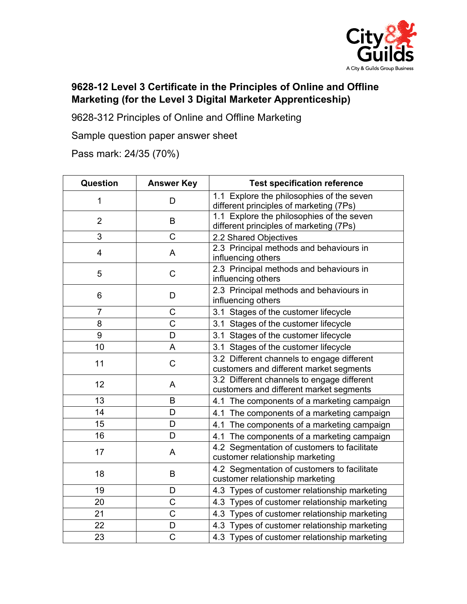

## **9628-12 Level 3 Certificate in the Principles of Online and Offline Marketing (for the Level 3 Digital Marketer Apprenticeship)**

9628-312 Principles of Online and Offline Marketing

Sample question paper answer sheet

Pass mark: 24/35 (70%)

| Question       | <b>Answer Key</b> | <b>Test specification reference</b>                                                   |
|----------------|-------------------|---------------------------------------------------------------------------------------|
| 1              | D                 | 1.1 Explore the philosophies of the seven<br>different principles of marketing (7Ps)  |
| $\overline{2}$ | B                 | 1.1 Explore the philosophies of the seven<br>different principles of marketing (7Ps)  |
| 3              | $\overline{C}$    | 2.2 Shared Objectives                                                                 |
| 4              | A                 | 2.3 Principal methods and behaviours in<br>influencing others                         |
| 5              | $\mathsf C$       | 2.3 Principal methods and behaviours in<br>influencing others                         |
| 6              | D                 | 2.3 Principal methods and behaviours in<br>influencing others                         |
| $\overline{7}$ | C                 | 3.1 Stages of the customer lifecycle                                                  |
| 8              | $\mathsf C$       | 3.1 Stages of the customer lifecycle                                                  |
| 9              | D                 | 3.1 Stages of the customer lifecycle                                                  |
| 10             | A                 | 3.1 Stages of the customer lifecycle                                                  |
| 11             | $\mathsf C$       | 3.2 Different channels to engage different<br>customers and different market segments |
| 12             | A                 | 3.2 Different channels to engage different<br>customers and different market segments |
| 13             | B                 | 4.1 The components of a marketing campaign                                            |
| 14             | D                 | 4.1 The components of a marketing campaign                                            |
| 15             | D                 | 4.1 The components of a marketing campaign                                            |
| 16             | D                 | 4.1 The components of a marketing campaign                                            |
| 17             | A                 | 4.2 Segmentation of customers to facilitate<br>customer relationship marketing        |
| 18             | B                 | 4.2 Segmentation of customers to facilitate<br>customer relationship marketing        |
| 19             | D                 | 4.3 Types of customer relationship marketing                                          |
| 20             | $\mathsf C$       | 4.3 Types of customer relationship marketing                                          |
| 21             | $\mathsf C$       | 4.3 Types of customer relationship marketing                                          |
| 22             | D                 | 4.3 Types of customer relationship marketing                                          |
| 23             | $\overline{C}$    | 4.3 Types of customer relationship marketing                                          |